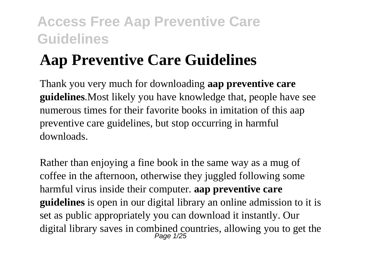# **Aap Preventive Care Guidelines**

Thank you very much for downloading **aap preventive care guidelines**.Most likely you have knowledge that, people have see numerous times for their favorite books in imitation of this aap preventive care guidelines, but stop occurring in harmful downloads.

Rather than enjoying a fine book in the same way as a mug of coffee in the afternoon, otherwise they juggled following some harmful virus inside their computer. **aap preventive care guidelines** is open in our digital library an online admission to it is set as public appropriately you can download it instantly. Our digital library saves in combined countries, allowing you to get the Page 1/25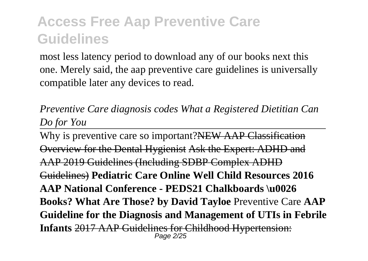most less latency period to download any of our books next this one. Merely said, the aap preventive care guidelines is universally compatible later any devices to read.

*Preventive Care diagnosis codes What a Registered Dietitian Can Do for You*

Why is preventive care so important?NEW AAP Classification Overview for the Dental Hygienist Ask the Expert: ADHD and AAP 2019 Guidelines (Including SDBP Complex ADHD Guidelines) **Pediatric Care Online Well Child Resources 2016 AAP National Conference - PEDS21 Chalkboards \u0026 Books? What Are Those? by David Tayloe** Preventive Care **AAP Guideline for the Diagnosis and Management of UTIs in Febrile Infants** 2017 AAP Guidelines for Childhood Hypertension: Page 2/25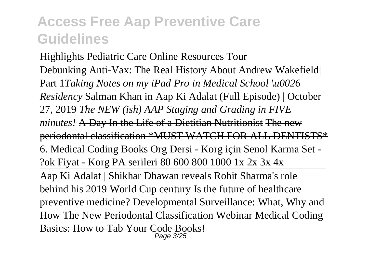#### Highlights Pediatric Care Online Resources Tour

Debunking Anti-Vax: The Real History About Andrew Wakefield| Part 1*Taking Notes on my iPad Pro in Medical School \u0026 Residency* Salman Khan in Aap Ki Adalat (Full Episode) | October 27, 2019 *The NEW (ish) AAP Staging and Grading in FIVE minutes!* A Day In the Life of a Dietitian Nutritionist The new periodontal classification \*MUST WATCH FOR ALL DENTISTS\* 6. Medical Coding Books Org Dersi - Korg için Senol Karma Set - ?ok Fiyat - Korg PA serileri 80 600 800 1000 1x 2x 3x 4x Aap Ki Adalat | Shikhar Dhawan reveals Rohit Sharma's role behind his 2019 World Cup century Is the future of healthcare preventive medicine? Developmental Surveillance: What, Why and How The New Periodontal Classification Webinar Medical Coding Basics: How to Tab Your Code Books! Page 3/25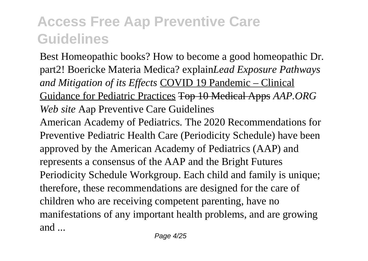Best Homeopathic books? How to become a good homeopathic Dr. part2! Boericke Materia Medica? explain*Lead Exposure Pathways and Mitigation of its Effects* COVID 19 Pandemic – Clinical Guidance for Pediatric Practices Top 10 Medical Apps *AAP.ORG Web site* Aap Preventive Care Guidelines American Academy of Pediatrics. The 2020 Recommendations for Preventive Pediatric Health Care (Periodicity Schedule) have been approved by the American Academy of Pediatrics (AAP) and represents a consensus of the AAP and the Bright Futures Periodicity Schedule Workgroup. Each child and family is unique; therefore, these recommendations are designed for the care of children who are receiving competent parenting, have no manifestations of any important health problems, and are growing and ...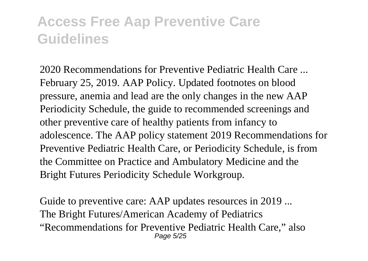2020 Recommendations for Preventive Pediatric Health Care ... February 25, 2019. AAP Policy. Updated footnotes on blood pressure, anemia and lead are the only changes in the new AAP Periodicity Schedule, the guide to recommended screenings and other preventive care of healthy patients from infancy to adolescence. The AAP policy statement 2019 Recommendations for Preventive Pediatric Health Care, or Periodicity Schedule, is from the Committee on Practice and Ambulatory Medicine and the Bright Futures Periodicity Schedule Workgroup.

Guide to preventive care: AAP updates resources in 2019 ... The Bright Futures/American Academy of Pediatrics "Recommendations for Preventive Pediatric Health Care," also Page 5/25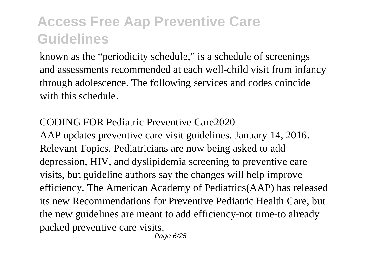known as the "periodicity schedule," is a schedule of screenings and assessments recommended at each well-child visit from infancy through adolescence. The following services and codes coincide with this schedule.

#### CODING FOR Pediatric Preventive Care2020

AAP updates preventive care visit guidelines. January 14, 2016. Relevant Topics. Pediatricians are now being asked to add depression, HIV, and dyslipidemia screening to preventive care visits, but guideline authors say the changes will help improve efficiency. The American Academy of Pediatrics(AAP) has released its new Recommendations for Preventive Pediatric Health Care, but the new guidelines are meant to add efficiency-not time-to already packed preventive care visits.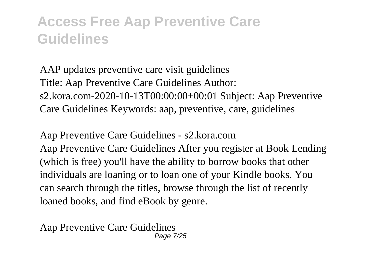AAP updates preventive care visit guidelines Title: Aap Preventive Care Guidelines Author: s2.kora.com-2020-10-13T00:00:00+00:01 Subject: Aap Preventive Care Guidelines Keywords: aap, preventive, care, guidelines

Aap Preventive Care Guidelines - s2.kora.com Aap Preventive Care Guidelines After you register at Book Lending (which is free) you'll have the ability to borrow books that other individuals are loaning or to loan one of your Kindle books. You can search through the titles, browse through the list of recently loaned books, and find eBook by genre.

Aap Preventive Care Guidelines Page 7/25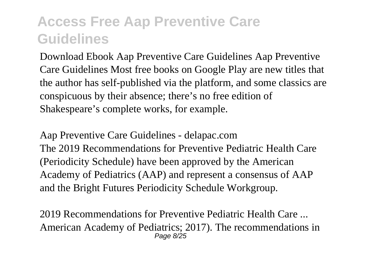Download Ebook Aap Preventive Care Guidelines Aap Preventive Care Guidelines Most free books on Google Play are new titles that the author has self-published via the platform, and some classics are conspicuous by their absence; there's no free edition of Shakespeare's complete works, for example.

Aap Preventive Care Guidelines - delapac.com The 2019 Recommendations for Preventive Pediatric Health Care (Periodicity Schedule) have been approved by the American Academy of Pediatrics (AAP) and represent a consensus of AAP and the Bright Futures Periodicity Schedule Workgroup.

2019 Recommendations for Preventive Pediatric Health Care ... American Academy of Pediatrics; 2017). The recommendations in Page 8/25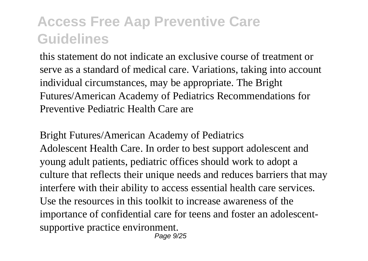this statement do not indicate an exclusive course of treatment or serve as a standard of medical care. Variations, taking into account individual circumstances, may be appropriate. The Bright Futures/American Academy of Pediatrics Recommendations for Preventive Pediatric Health Care are

Bright Futures/American Academy of Pediatrics Adolescent Health Care. In order to best support adolescent and young adult patients, pediatric offices should work to adopt a culture that reflects their unique needs and reduces barriers that may interfere with their ability to access essential health care services. Use the resources in this toolkit to increase awareness of the importance of confidential care for teens and foster an adolescentsupportive practice environment. Page 9/25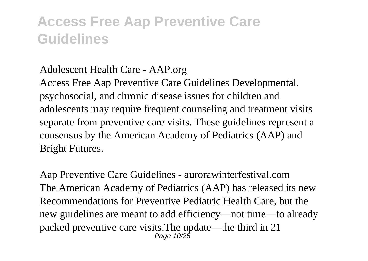#### Adolescent Health Care - AAP.org

Access Free Aap Preventive Care Guidelines Developmental, psychosocial, and chronic disease issues for children and adolescents may require frequent counseling and treatment visits separate from preventive care visits. These guidelines represent a consensus by the American Academy of Pediatrics (AAP) and Bright Futures.

Aap Preventive Care Guidelines - aurorawinterfestival.com The American Academy of Pediatrics (AAP) has released its new Recommendations for Preventive Pediatric Health Care, but the new guidelines are meant to add efficiency—not time—to already packed preventive care visits.The update—the third in 21 Page 10/25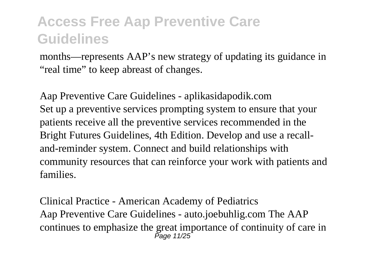months—represents AAP's new strategy of updating its guidance in "real time" to keep abreast of changes.

Aap Preventive Care Guidelines - aplikasidapodik.com Set up a preventive services prompting system to ensure that your patients receive all the preventive services recommended in the Bright Futures Guidelines, 4th Edition. Develop and use a recalland-reminder system. Connect and build relationships with community resources that can reinforce your work with patients and families.

Clinical Practice - American Academy of Pediatrics Aap Preventive Care Guidelines - auto.joebuhlig.com The AAP continues to emphasize the great importance of continuity of care in Page 11/25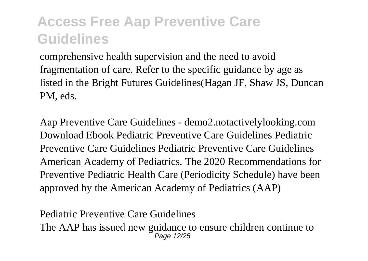comprehensive health supervision and the need to avoid fragmentation of care. Refer to the specific guidance by age as listed in the Bright Futures Guidelines(Hagan JF, Shaw JS, Duncan PM, eds.

Aap Preventive Care Guidelines - demo2.notactivelylooking.com Download Ebook Pediatric Preventive Care Guidelines Pediatric Preventive Care Guidelines Pediatric Preventive Care Guidelines American Academy of Pediatrics. The 2020 Recommendations for Preventive Pediatric Health Care (Periodicity Schedule) have been approved by the American Academy of Pediatrics (AAP)

Pediatric Preventive Care Guidelines The AAP has issued new guidance to ensure children continue to Page 12/25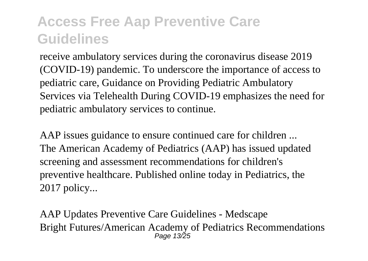receive ambulatory services during the coronavirus disease 2019 (COVID-19) pandemic. To underscore the importance of access to pediatric care, Guidance on Providing Pediatric Ambulatory Services via Telehealth During COVID-19 emphasizes the need for pediatric ambulatory services to continue.

AAP issues guidance to ensure continued care for children ... The American Academy of Pediatrics (AAP) has issued updated screening and assessment recommendations for children's preventive healthcare. Published online today in Pediatrics, the 2017 policy...

AAP Updates Preventive Care Guidelines - Medscape Bright Futures/American Academy of Pediatrics Recommendations Page 13/25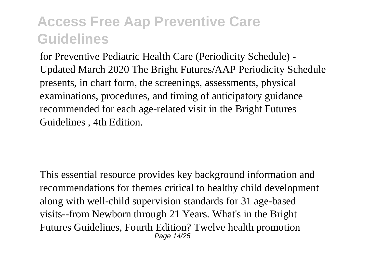for Preventive Pediatric Health Care (Periodicity Schedule) - Updated March 2020 The Bright Futures/AAP Periodicity Schedule presents, in chart form, the screenings, assessments, physical examinations, procedures, and timing of anticipatory guidance recommended for each age-related visit in the Bright Futures Guidelines , 4th Edition.

This essential resource provides key background information and recommendations for themes critical to healthy child development along with well-child supervision standards for 31 age-based visits--from Newborn through 21 Years. What's in the Bright Futures Guidelines, Fourth Edition? Twelve health promotion Page 14/25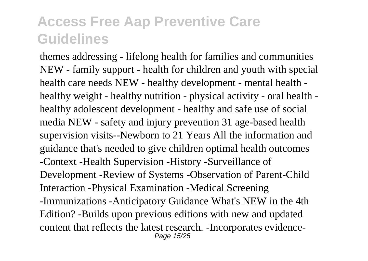themes addressing - lifelong health for families and communities NEW - family support - health for children and youth with special health care needs NEW - healthy development - mental health healthy weight - healthy nutrition - physical activity - oral health healthy adolescent development - healthy and safe use of social media NEW - safety and injury prevention 31 age-based health supervision visits--Newborn to 21 Years All the information and guidance that's needed to give children optimal health outcomes -Context -Health Supervision -History -Surveillance of Development -Review of Systems -Observation of Parent-Child Interaction -Physical Examination -Medical Screening -Immunizations -Anticipatory Guidance What's NEW in the 4th Edition? -Builds upon previous editions with new and updated content that reflects the latest research. -Incorporates evidence-Page 15/25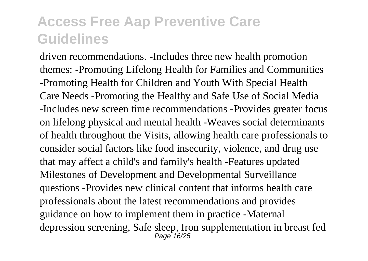driven recommendations. -Includes three new health promotion themes: -Promoting Lifelong Health for Families and Communities -Promoting Health for Children and Youth With Special Health Care Needs -Promoting the Healthy and Safe Use of Social Media -Includes new screen time recommendations -Provides greater focus on lifelong physical and mental health -Weaves social determinants of health throughout the Visits, allowing health care professionals to consider social factors like food insecurity, violence, and drug use that may affect a child's and family's health -Features updated Milestones of Development and Developmental Surveillance questions -Provides new clinical content that informs health care professionals about the latest recommendations and provides guidance on how to implement them in practice -Maternal depression screening, Safe sleep, Iron supplementation in breast fed Page 16/25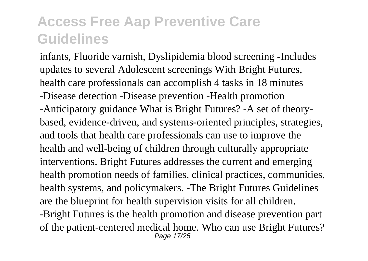infants, Fluoride varnish, Dyslipidemia blood screening -Includes updates to several Adolescent screenings With Bright Futures, health care professionals can accomplish 4 tasks in 18 minutes -Disease detection -Disease prevention -Health promotion -Anticipatory guidance What is Bright Futures? -A set of theorybased, evidence-driven, and systems-oriented principles, strategies, and tools that health care professionals can use to improve the health and well-being of children through culturally appropriate interventions. Bright Futures addresses the current and emerging health promotion needs of families, clinical practices, communities, health systems, and policymakers. -The Bright Futures Guidelines are the blueprint for health supervision visits for all children. -Bright Futures is the health promotion and disease prevention part of the patient-centered medical home. Who can use Bright Futures? Page 17/25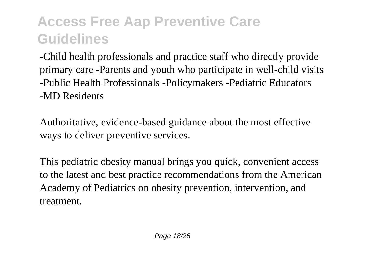-Child health professionals and practice staff who directly provide primary care -Parents and youth who participate in well-child visits -Public Health Professionals -Policymakers -Pediatric Educators -MD Residents

Authoritative, evidence-based guidance about the most effective ways to deliver preventive services.

This pediatric obesity manual brings you quick, convenient access to the latest and best practice recommendations from the American Academy of Pediatrics on obesity prevention, intervention, and treatment.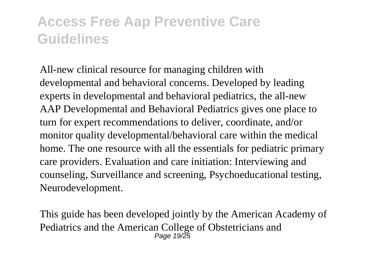All-new clinical resource for managing children with developmental and behavioral concerns. Developed by leading experts in developmental and behavioral pediatrics, the all-new AAP Developmental and Behavioral Pediatrics gives one place to turn for expert recommendations to deliver, coordinate, and/or monitor quality developmental/behavioral care within the medical home. The one resource with all the essentials for pediatric primary care providers. Evaluation and care initiation: Interviewing and counseling, Surveillance and screening, Psychoeducational testing, Neurodevelopment.

This guide has been developed jointly by the American Academy of Pediatrics and the American College of Obstetricians and Page 19/25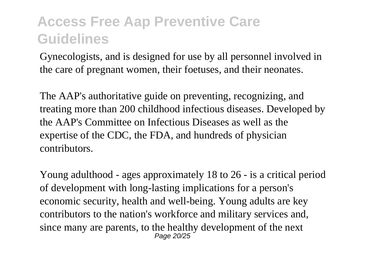Gynecologists, and is designed for use by all personnel involved in the care of pregnant women, their foetuses, and their neonates.

The AAP's authoritative guide on preventing, recognizing, and treating more than 200 childhood infectious diseases. Developed by the AAP's Committee on Infectious Diseases as well as the expertise of the CDC, the FDA, and hundreds of physician contributors.

Young adulthood - ages approximately 18 to 26 - is a critical period of development with long-lasting implications for a person's economic security, health and well-being. Young adults are key contributors to the nation's workforce and military services and, since many are parents, to the healthy development of the next Page 20/25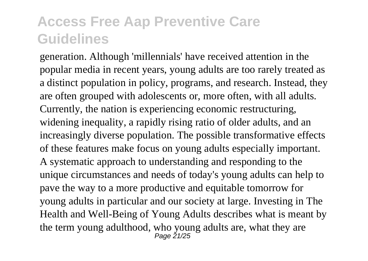generation. Although 'millennials' have received attention in the popular media in recent years, young adults are too rarely treated as a distinct population in policy, programs, and research. Instead, they are often grouped with adolescents or, more often, with all adults. Currently, the nation is experiencing economic restructuring, widening inequality, a rapidly rising ratio of older adults, and an increasingly diverse population. The possible transformative effects of these features make focus on young adults especially important. A systematic approach to understanding and responding to the unique circumstances and needs of today's young adults can help to pave the way to a more productive and equitable tomorrow for young adults in particular and our society at large. Investing in The Health and Well-Being of Young Adults describes what is meant by the term young adulthood, who young adults are, what they are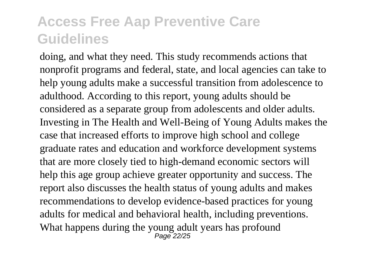doing, and what they need. This study recommends actions that nonprofit programs and federal, state, and local agencies can take to help young adults make a successful transition from adolescence to adulthood. According to this report, young adults should be considered as a separate group from adolescents and older adults. Investing in The Health and Well-Being of Young Adults makes the case that increased efforts to improve high school and college graduate rates and education and workforce development systems that are more closely tied to high-demand economic sectors will help this age group achieve greater opportunity and success. The report also discusses the health status of young adults and makes recommendations to develop evidence-based practices for young adults for medical and behavioral health, including preventions. What happens during the young adult years has profound Page 22/25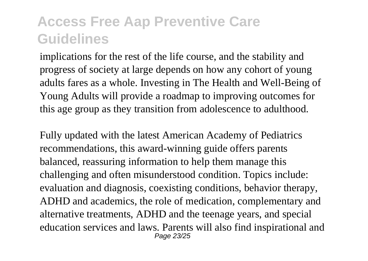implications for the rest of the life course, and the stability and progress of society at large depends on how any cohort of young adults fares as a whole. Investing in The Health and Well-Being of Young Adults will provide a roadmap to improving outcomes for this age group as they transition from adolescence to adulthood.

Fully updated with the latest American Academy of Pediatrics recommendations, this award-winning guide offers parents balanced, reassuring information to help them manage this challenging and often misunderstood condition. Topics include: evaluation and diagnosis, coexisting conditions, behavior therapy, ADHD and academics, the role of medication, complementary and alternative treatments, ADHD and the teenage years, and special education services and laws. Parents will also find inspirational and Page 23/25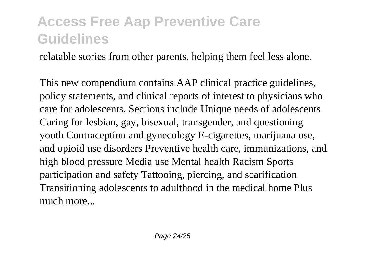relatable stories from other parents, helping them feel less alone.

This new compendium contains AAP clinical practice guidelines, policy statements, and clinical reports of interest to physicians who care for adolescents. Sections include Unique needs of adolescents Caring for lesbian, gay, bisexual, transgender, and questioning youth Contraception and gynecology E-cigarettes, marijuana use, and opioid use disorders Preventive health care, immunizations, and high blood pressure Media use Mental health Racism Sports participation and safety Tattooing, piercing, and scarification Transitioning adolescents to adulthood in the medical home Plus much more...